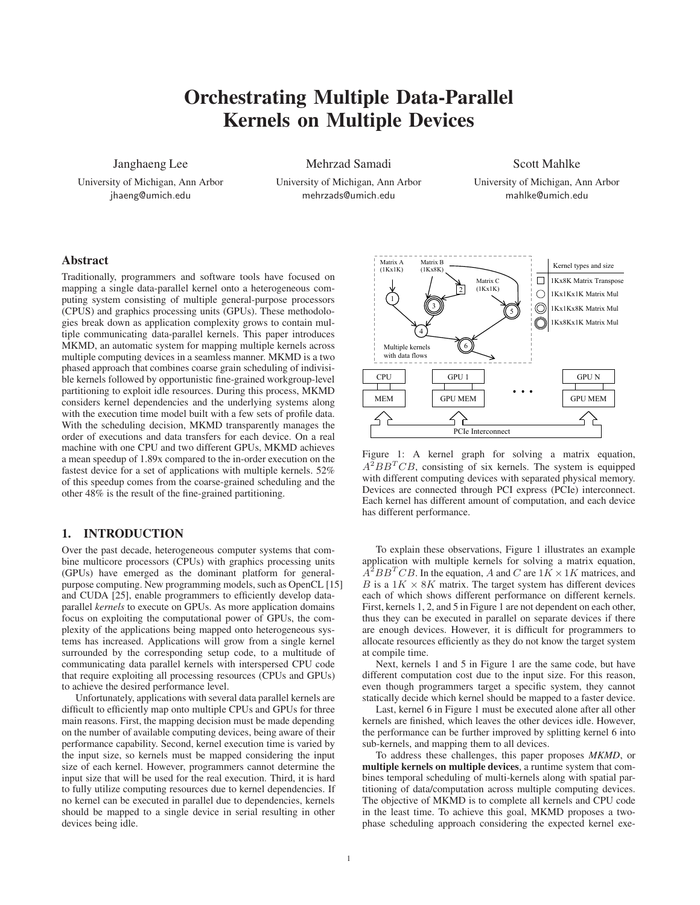# Orchestrating Multiple Data-Parallel Kernels on Multiple Devices

Janghaeng Lee

University of Michigan, Ann Arbor jhaeng@umich.edu

Mehrzad Samadi

University of Michigan, Ann Arbor mehrzads@umich.edu

Scott Mahlke University of Michigan, Ann Arbor

mahlke@umich.edu

Matrix A Matrix B Kernel types and size (1Kx1K) (1Kx8K) Matrix C  $\Box$ 1Kx8K Matrix Transpose (1Kx1K) 2  $\bigcirc$ 1Kx1Kx1K Matrix Mul 1 3  $\circledcirc$ 1Kx1Kx8K Matrix Mul 5 O 1Kx8Kx1K Matrix Mul 4 Multiple kernels 6 with data flows CPU | GPU 1 GPU N MEM GPU MEM GPU MEM ィ 3 5 PCIe Interconnect

Abstract

Traditionally, programmers and software tools have focused on mapping a single data-parallel kernel onto a heterogeneous computing system consisting of multiple general-purpose processors (CPUS) and graphics processing units (GPUs). These methodologies break down as application complexity grows to contain multiple communicating data-parallel kernels. This paper introduces MKMD, an automatic system for mapping multiple kernels across multiple computing devices in a seamless manner. MKMD is a two phased approach that combines coarse grain scheduling of indivisible kernels followed by opportunistic fine-grained workgroup-level partitioning to exploit idle resources. During this process, MKMD considers kernel dependencies and the underlying systems along with the execution time model built with a few sets of profile data. With the scheduling decision, MKMD transparently manages the order of executions and data transfers for each device. On a real machine with one CPU and two different GPUs, MKMD achieves a mean speedup of 1.89x compared to the in-order execution on the fastest device for a set of applications with multiple kernels. 52% of this speedup comes from the coarse-grained scheduling and the other 48% is the result of the fine-grained partitioning.

## 1. INTRODUCTION

Over the past decade, heterogeneous computer systems that combine multicore processors (CPUs) with graphics processing units (GPUs) have emerged as the dominant platform for generalpurpose computing. New programming models, such as OpenCL [15] and CUDA [25], enable programmers to efficiently develop dataparallel *kernels* to execute on GPUs. As more application domains focus on exploiting the computational power of GPUs, the complexity of the applications being mapped onto heterogeneous systems has increased. Applications will grow from a single kernel surrounded by the corresponding setup code, to a multitude of communicating data parallel kernels with interspersed CPU code that require exploiting all processing resources (CPUs and GPUs) to achieve the desired performance level.

Unfortunately, applications with several data parallel kernels are difficult to efficiently map onto multiple CPUs and GPUs for three main reasons. First, the mapping decision must be made depending on the number of available computing devices, being aware of their performance capability. Second, kernel execution time is varied by the input size, so kernels must be mapped considering the input size of each kernel. However, programmers cannot determine the input size that will be used for the real execution. Third, it is hard to fully utilize computing resources due to kernel dependencies. If no kernel can be executed in parallel due to dependencies, kernels should be mapped to a single device in serial resulting in other devices being idle.

Figure 1: A kernel graph for solving a matrix equation,  $A^{2}BB^{T}CB$ , consisting of six kernels. The system is equipped with different computing devices with separated physical memory. Devices are connected through PCI express (PCIe) interconnect. Each kernel has different amount of computation, and each device has different performance.

To explain these observations, Figure 1 illustrates an example application with multiple kernels for solving a matrix equation,  $\overline{A}^2BB^TCB$ . In the equation, A and C are  $1K \times 1K$  matrices, and B is a  $1K \times 8K$  matrix. The target system has different devices each of which shows different performance on different kernels. First, kernels 1, 2, and 5 in Figure 1 are not dependent on each other, thus they can be executed in parallel on separate devices if there are enough devices. However, it is difficult for programmers to allocate resources efficiently as they do not know the target system at compile time.

Next, kernels 1 and 5 in Figure 1 are the same code, but have different computation cost due to the input size. For this reason, even though programmers target a specific system, they cannot statically decide which kernel should be mapped to a faster device.

Last, kernel 6 in Figure 1 must be executed alone after all other kernels are finished, which leaves the other devices idle. However, the performance can be further improved by splitting kernel 6 into sub-kernels, and mapping them to all devices.

To address these challenges, this paper proposes *MKMD*, or multiple kernels on multiple devices, a runtime system that combines temporal scheduling of multi-kernels along with spatial partitioning of data/computation across multiple computing devices. The objective of MKMD is to complete all kernels and CPU code in the least time. To achieve this goal, MKMD proposes a twophase scheduling approach considering the expected kernel exe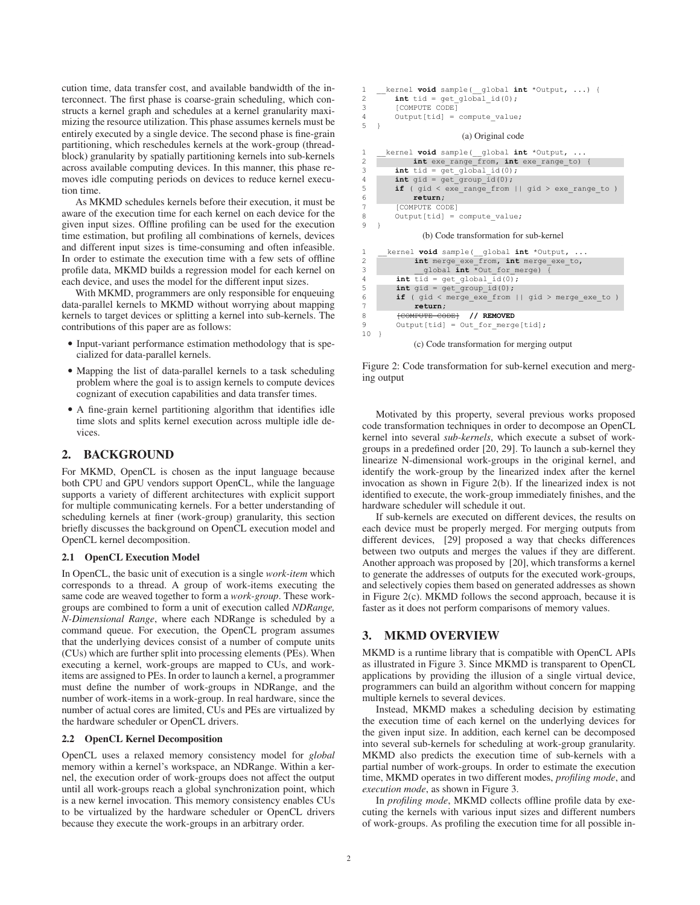cution time, data transfer cost, and available bandwidth of the interconnect. The first phase is coarse-grain scheduling, which constructs a kernel graph and schedules at a kernel granularity maximizing the resource utilization. This phase assumes kernels must be entirely executed by a single device. The second phase is fine-grain partitioning, which reschedules kernels at the work-group (threadblock) granularity by spatially partitioning kernels into sub-kernels across available computing devices. In this manner, this phase removes idle computing periods on devices to reduce kernel execution time.

As MKMD schedules kernels before their execution, it must be aware of the execution time for each kernel on each device for the given input sizes. Offline profiling can be used for the execution time estimation, but profiling all combinations of kernels, devices and different input sizes is time-consuming and often infeasible. In order to estimate the execution time with a few sets of offline profile data, MKMD builds a regression model for each kernel on each device, and uses the model for the different input sizes.

With MKMD, programmers are only responsible for enqueuing data-parallel kernels to MKMD without worrying about mapping kernels to target devices or splitting a kernel into sub-kernels. The contributions of this paper are as follows:

- Input-variant performance estimation methodology that is specialized for data-parallel kernels.
- Mapping the list of data-parallel kernels to a task scheduling problem where the goal is to assign kernels to compute devices cognizant of execution capabilities and data transfer times.
- A fine-grain kernel partitioning algorithm that identifies idle time slots and splits kernel execution across multiple idle devices.

## 2. BACKGROUND

For MKMD, OpenCL is chosen as the input language because both CPU and GPU vendors support OpenCL, while the language supports a variety of different architectures with explicit support for multiple communicating kernels. For a better understanding of scheduling kernels at finer (work-group) granularity, this section briefly discusses the background on OpenCL execution model and OpenCL kernel decomposition.

#### 2.1 OpenCL Execution Model

In OpenCL, the basic unit of execution is a single *work-item* which corresponds to a thread. A group of work-items executing the same code are weaved together to form a *work-group*. These workgroups are combined to form a unit of execution called *NDRange, N-Dimensional Range*, where each NDRange is scheduled by a command queue. For execution, the OpenCL program assumes that the underlying devices consist of a number of compute units (CUs) which are further split into processing elements (PEs). When executing a kernel, work-groups are mapped to CUs, and workitems are assigned to PEs. In order to launch a kernel, a programmer must define the number of work-groups in NDRange, and the number of work-items in a work-group. In real hardware, since the number of actual cores are limited, CUs and PEs are virtualized by the hardware scheduler or OpenCL drivers.

#### 2.2 OpenCL Kernel Decomposition

OpenCL uses a relaxed memory consistency model for *global* memory within a kernel's workspace, an NDRange. Within a kernel, the execution order of work-groups does not affect the output until all work-groups reach a global synchronization point, which is a new kernel invocation. This memory consistency enables CUs to be virtualized by the hardware scheduler or OpenCL drivers because they execute the work-groups in an arbitrary order.

| 1<br>$\overline{c}$<br>3<br>4<br>5 | kernel <b>void</b> sample( $q$ lobal int *Output, ) {<br>int tid = get global id(0);<br>[COMPUTE CODE]<br>$Output[tid] = compute value;$<br>1<br>(a) Original code |
|------------------------------------|--------------------------------------------------------------------------------------------------------------------------------------------------------------------|
| $\mathbf{1}$                       | kernel <b>void</b> sample( global int *Output,                                                                                                                     |
| $\overline{2}$                     | int exe range from, int exe range to) {                                                                                                                            |
| 3                                  | $int tid = qet qlobal id(0);$                                                                                                                                      |
| 4                                  | $int$ gid = get group id(0);                                                                                                                                       |
| 5                                  | if ( $\text{qid}$ < exe range from    $\text{qid}$ > exe range to )                                                                                                |
| 6                                  | return;                                                                                                                                                            |
| 7                                  | [COMPUTE CODE]                                                                                                                                                     |
| 8                                  | $Output[tid] = compute value;$                                                                                                                                     |
| 9                                  | ł<br>(b) Code transformation for sub-kernel                                                                                                                        |
| 1                                  | kernel <b>void</b> sample( qlobal int *Output,                                                                                                                     |
| $\overline{c}$                     | int merge exe from, int merge exe to,                                                                                                                              |
| 3                                  | global int *Out for merge) {                                                                                                                                       |
| 4                                  | int tid = get global $id(0)$ ;                                                                                                                                     |
| 5                                  | $int$ gid = get group id(0);                                                                                                                                       |
| 6                                  | if ( $\text{qid}$ < merge exe from    $\text{qid}$ > merge exe to )                                                                                                |
| 7                                  | return;                                                                                                                                                            |
| 8                                  | <b>FCOMPUTE CODE   // REMOVED</b>                                                                                                                                  |
| 9                                  | Output [tid] = Out for merge [tid];                                                                                                                                |
| 10                                 | ł<br>(c) Code transformation for merging output                                                                                                                    |

Figure 2: Code transformation for sub-kernel execution and merging output

Motivated by this property, several previous works proposed code transformation techniques in order to decompose an OpenCL kernel into several *sub-kernels*, which execute a subset of workgroups in a predefined order [20, 29]. To launch a sub-kernel they linearize N-dimensional work-groups in the original kernel, and identify the work-group by the linearized index after the kernel invocation as shown in Figure 2(b). If the linearized index is not identified to execute, the work-group immediately finishes, and the hardware scheduler will schedule it out.

If sub-kernels are executed on different devices, the results on each device must be properly merged. For merging outputs from different devices, [29] proposed a way that checks differences between two outputs and merges the values if they are different. Another approach was proposed by [20], which transforms a kernel to generate the addresses of outputs for the executed work-groups, and selectively copies them based on generated addresses as shown in Figure 2(c). MKMD follows the second approach, because it is faster as it does not perform comparisons of memory values.

## 3. MKMD OVERVIEW

MKMD is a runtime library that is compatible with OpenCL APIs as illustrated in Figure 3. Since MKMD is transparent to OpenCL applications by providing the illusion of a single virtual device, programmers can build an algorithm without concern for mapping multiple kernels to several devices.

Instead, MKMD makes a scheduling decision by estimating the execution time of each kernel on the underlying devices for the given input size. In addition, each kernel can be decomposed into several sub-kernels for scheduling at work-group granularity. MKMD also predicts the execution time of sub-kernels with a partial number of work-groups. In order to estimate the execution time, MKMD operates in two different modes, *profiling mode*, and *execution mode*, as shown in Figure 3.

In *profiling mode*, MKMD collects offline profile data by executing the kernels with various input sizes and different numbers of work-groups. As profiling the execution time for all possible in-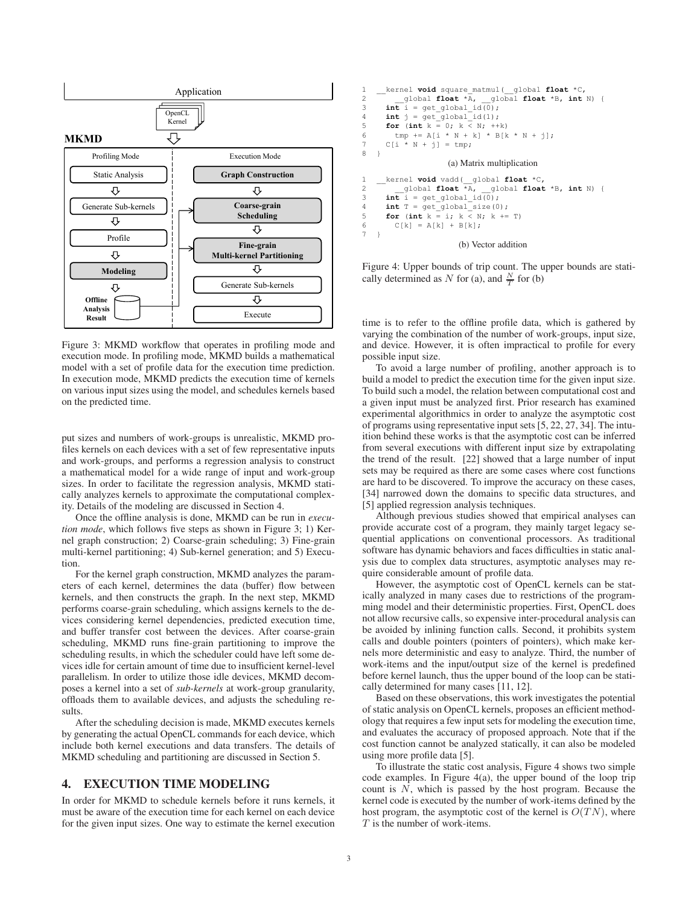

Figure 3: MKMD workflow that operates in profiling mode and execution mode. In profiling mode, MKMD builds a mathematical model with a set of profile data for the execution time prediction. In execution mode, MKMD predicts the execution time of kernels on various input sizes using the model, and schedules kernels based on the predicted time.

put sizes and numbers of work-groups is unrealistic, MKMD profiles kernels on each devices with a set of few representative inputs and work-groups, and performs a regression analysis to construct a mathematical model for a wide range of input and work-group sizes. In order to facilitate the regression analysis, MKMD statically analyzes kernels to approximate the computational complexity. Details of the modeling are discussed in Section 4.

Once the offline analysis is done, MKMD can be run in *execution mode*, which follows five steps as shown in Figure 3; 1) Kernel graph construction; 2) Coarse-grain scheduling; 3) Fine-grain multi-kernel partitioning; 4) Sub-kernel generation; and 5) Execution.

For the kernel graph construction, MKMD analyzes the parameters of each kernel, determines the data (buffer) flow between kernels, and then constructs the graph. In the next step, MKMD performs coarse-grain scheduling, which assigns kernels to the devices considering kernel dependencies, predicted execution time, and buffer transfer cost between the devices. After coarse-grain scheduling, MKMD runs fine-grain partitioning to improve the scheduling results, in which the scheduler could have left some devices idle for certain amount of time due to insufficient kernel-level parallelism. In order to utilize those idle devices, MKMD decomposes a kernel into a set of *sub-kernels* at work-group granularity, offloads them to available devices, and adjusts the scheduling results.

After the scheduling decision is made, MKMD executes kernels by generating the actual OpenCL commands for each device, which include both kernel executions and data transfers. The details of MKMD scheduling and partitioning are discussed in Section 5.

## 4. EXECUTION TIME MODELING

In order for MKMD to schedule kernels before it runs kernels, it must be aware of the execution time for each kernel on each device for the given input sizes. One way to estimate the kernel execution

```
1 
\overline{2}3 
4 
5 
6 
7
8 
    __kernel void square_matmul(__global float *C,
          __global float *A, __global float *B, int N) {
      int i = get\_global_id(0);int j = get\_global_id(1);for (int k = 0; k \le N; ++k)
    tmp += A[i * N + k] * B[k * N + j];<br>
C[i * N + j] = tmp;} 
                      (a) Matrix multiplication
1 
\overline{2}3 
4 
      __kernel void vadd(__global float *C,
           __global float *A, __global float *B, int N) {
      int i = get\_global_id(0);
```

```
 int T = get_global_size(0);
 for (int k = i; k < N; k += T)
   C[k] = A[k] + B[k];} 
                   (b) Vector addition
```
5 6 7

Figure 4: Upper bounds of trip count. The upper bounds are statically determined as N for (a), and  $\frac{N}{T}$  for (b)

time is to refer to the offline profile data, which is gathered by varying the combination of the number of work-groups, input size, and device. However, it is often impractical to profile for every possible input size.

To avoid a large number of profiling, another approach is to build a model to predict the execution time for the given input size. To build such a model, the relation between computational cost and a given input must be analyzed first. Prior research has examined experimental algorithmics in order to analyze the asymptotic cost of programs using representative input sets [5, 22, 27, 34]. The intuition behind these works is that the asymptotic cost can be inferred from several executions with different input size by extrapolating the trend of the result. [22] showed that a large number of input sets may be required as there are some cases where cost functions are hard to be discovered. To improve the accuracy on these cases, [34] narrowed down the domains to specific data structures, and [5] applied regression analysis techniques.

Although previous studies showed that empirical analyses can provide accurate cost of a program, they mainly target legacy sequential applications on conventional processors. As traditional software has dynamic behaviors and faces difficulties in static analysis due to complex data structures, asymptotic analyses may require considerable amount of profile data.

However, the asymptotic cost of OpenCL kernels can be statically analyzed in many cases due to restrictions of the programming model and their deterministic properties. First, OpenCL does not allow recursive calls, so expensive inter-procedural analysis can be avoided by inlining function calls. Second, it prohibits system calls and double pointers (pointers of pointers), which make kernels more deterministic and easy to analyze. Third, the number of work-items and the input/output size of the kernel is predefined before kernel launch, thus the upper bound of the loop can be statically determined for many cases [11, 12].

Based on these observations, this work investigates the potential of static analysis on OpenCL kernels, proposes an efficient methodology that requires a few input sets for modeling the execution time, and evaluates the accuracy of proposed approach. Note that if the cost function cannot be analyzed statically, it can also be modeled using more profile data [5].

To illustrate the static cost analysis, Figure 4 shows two simple code examples. In Figure 4(a), the upper bound of the loop trip count is N, which is passed by the host program. Because the kernel code is executed by the number of work-items defined by the host program, the asymptotic cost of the kernel is  $O(TN)$ , where T is the number of work-items.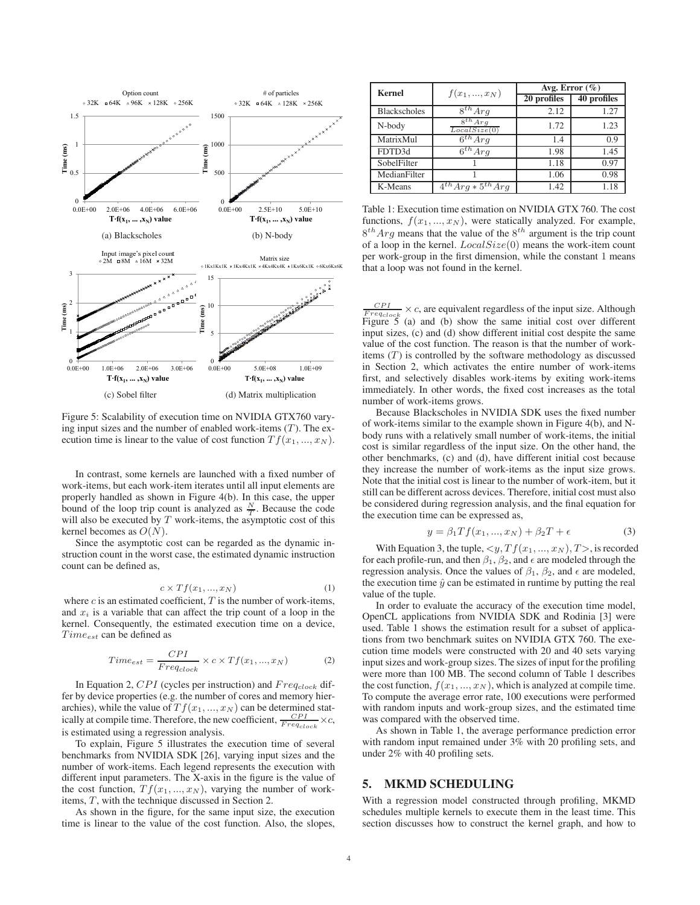

Figure 5: Scalability of execution time on NVIDIA GTX760 varying input sizes and the number of enabled work-items  $(T)$ . The execution time is linear to the value of cost function  $Tf(x_1, ..., x_N)$ .

In contrast, some kernels are launched with a fixed number of work-items, but each work-item iterates until all input elements are properly handled as shown in Figure 4(b). In this case, the upper bound of the loop trip count is analyzed as  $\frac{N}{T}$ . Because the code will also be executed by  $T$  work-items, the asymptotic cost of this kernel becomes as  $O(N)$ .

Since the asymptotic cost can be regarded as the dynamic instruction count in the worst case, the estimated dynamic instruction count can be defined as,

$$
c \times Tf(x_1, ..., x_N)
$$
 (1)

where  $c$  is an estimated coefficient,  $T$  is the number of work-items, and  $x_i$  is a variable that can affect the trip count of a loop in the kernel. Consequently, the estimated execution time on a device,  $Time_{est}$  can be defined as

$$
Time_{est} = \frac{CPI}{Freq_{clock}} \times c \times Tf(x_1, ..., x_N)
$$
 (2)

In Equation 2,  $CPI$  (cycles per instruction) and  $Freq_{clock}$  differ by device properties (e.g. the number of cores and memory hierarchies), while the value of  $Tf(x_1, ..., x_N)$  can be determined statically at compile time. Therefore, the new coefficient,  $\frac{CPI}{Freq_{clock}} \times c$ , is estimated using a regression analysis.

To explain, Figure 5 illustrates the execution time of several benchmarks from NVIDIA SDK [26], varying input sizes and the number of work-items. Each legend represents the execution with different input parameters. The X-axis in the figure is the value of the cost function,  $Tf(x_1, ..., x_N)$ , varying the number of workitems,  $T$ , with the technique discussed in Section 2.

As shown in the figure, for the same input size, the execution time is linear to the value of the cost function. Also, the slopes,

| <b>Kernel</b>       | $f(x_1, , x_N)$                      | Avg. Error $(\% )$ |             |
|---------------------|--------------------------------------|--------------------|-------------|
|                     |                                      | 20 profiles        | 40 profiles |
| <b>Blackscholes</b> | $8^{th}$ Arq                         | 2.12               | 1.27        |
| N-body              | $8^{th}Arq$<br>LocalSize(0)          | 1.72               | 1.23        |
| MatrixMul           | $6^{th}$ Arg                         | 1.4                | 0.9         |
| FDTD3d              | $6^{th}$ Arq                         | 1.98               | 1.45        |
| SobelFilter         |                                      | 1.18               | 0.97        |
| MedianFilter        |                                      | 1.06               | 0.98        |
| K-Means             | $4^{th}$ Arg $*$ 5 <sup>th</sup> Arg | 1.42               | 1.18        |

Table 1: Execution time estimation on NVIDIA GTX 760. The cost functions,  $f(x_1, ..., x_N)$ , were statically analyzed. For example,  $8<sup>th</sup> Arg$  means that the value of the  $8<sup>th</sup>$  argument is the trip count of a loop in the kernel.  $LocalSize(0)$  means the work-item count per work-group in the first dimension, while the constant 1 means that a loop was not found in the kernel.

 $CPI$  $F_{reqclock}$   $\alpha$ , are equivalent regardless of the input size. This dignity Figure 5 (a) and (b) show the same initial cost over different  $\div \times c$ , are equivalent regardless of the input size. Although input sizes, (c) and (d) show different initial cost despite the same value of the cost function. The reason is that the number of workitems  $(T)$  is controlled by the software methodology as discussed in Section 2, which activates the entire number of work-items first, and selectively disables work-items by exiting work-items immediately. In other words, the fixed cost increases as the total number of work-items grows.

Because Blackscholes in NVIDIA SDK uses the fixed number of work-items similar to the example shown in Figure 4(b), and Nbody runs with a relatively small number of work-items, the initial cost is similar regardless of the input size. On the other hand, the other benchmarks, (c) and (d), have different initial cost because they increase the number of work-items as the input size grows. Note that the initial cost is linear to the number of work-item, but it still can be different across devices. Therefore, initial cost must also be considered during regression analysis, and the final equation for the execution time can be expressed as,

$$
y = \beta_1 T f(x_1, \dots, x_N) + \beta_2 T + \epsilon \tag{3}
$$

With Equation 3, the tuple,  $\langle y, Tf(x_1, ..., x_N), T \rangle$ , is recorded for each profile-run, and then  $\beta_1$ ,  $\beta_2$ , and  $\epsilon$  are modeled through the regression analysis. Once the values of  $\beta_1$ ,  $\beta_2$ , and  $\epsilon$  are modeled, the execution time  $\hat{y}$  can be estimated in runtime by putting the real value of the tuple.

In order to evaluate the accuracy of the execution time model, OpenCL applications from NVIDIA SDK and Rodinia [3] were used. Table 1 shows the estimation result for a subset of applications from two benchmark suites on NVIDIA GTX 760. The execution time models were constructed with 20 and 40 sets varying input sizes and work-group sizes. The sizes of input for the profiling were more than 100 MB. The second column of Table 1 describes the cost function,  $f(x_1, ..., x_N)$ , which is analyzed at compile time. To compute the average error rate, 100 executions were performed with random inputs and work-group sizes, and the estimated time was compared with the observed time.

As shown in Table 1, the average performance prediction error with random input remained under 3% with 20 profiling sets, and under 2% with 40 profiling sets.

## 5. MKMD SCHEDULING

With a regression model constructed through profiling, MKMD schedules multiple kernels to execute them in the least time. This section discusses how to construct the kernel graph, and how to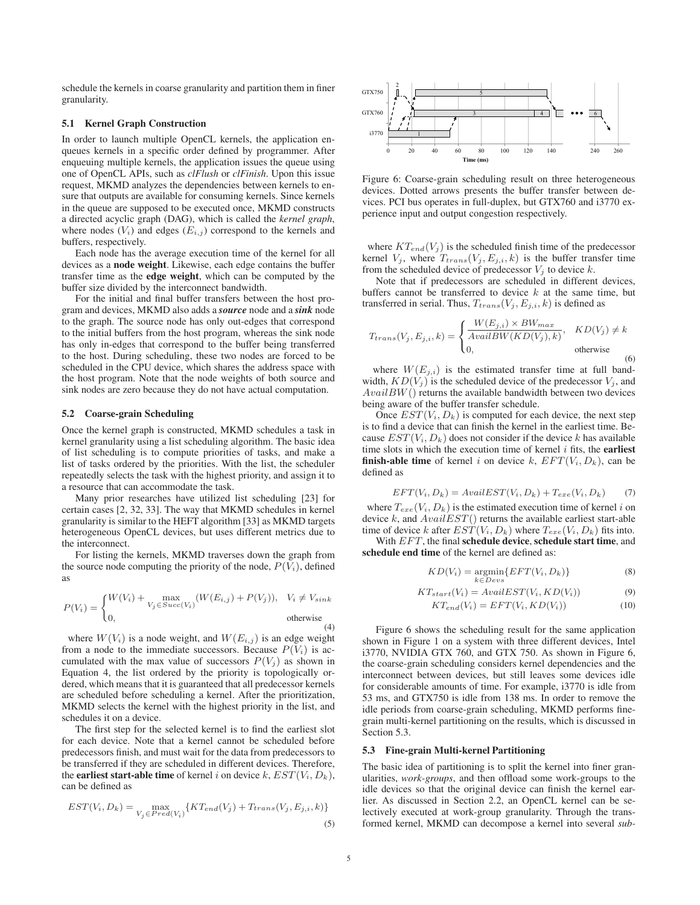schedule the kernels in coarse granularity and partition them in finer granularity.

#### 5.1 Kernel Graph Construction

In order to launch multiple OpenCL kernels, the application enqueues kernels in a specific order defined by programmer. After enqueuing multiple kernels, the application issues the queue using one of OpenCL APIs, such as *clFlush* or *clFinish*. Upon this issue request, MKMD analyzes the dependencies between kernels to ensure that outputs are available for consuming kernels. Since kernels in the queue are supposed to be executed once, MKMD constructs a directed acyclic graph (DAG), which is called the *kernel graph*, where nodes  $(V_i)$  and edges  $(E_{i,j})$  correspond to the kernels and buffers, respectively.

Each node has the average execution time of the kernel for all devices as a node weight. Likewise, each edge contains the buffer transfer time as the edge weight, which can be computed by the buffer size divided by the interconnect bandwidth.

For the initial and final buffer transfers between the host program and devices, MKMD also adds a *source* node and a *sink* node to the graph. The source node has only out-edges that correspond to the initial buffers from the host program, whereas the sink node has only in-edges that correspond to the buffer being transferred to the host. During scheduling, these two nodes are forced to be scheduled in the CPU device, which shares the address space with the host program. Note that the node weights of both source and sink nodes are zero because they do not have actual computation.

#### 5.2 Coarse-grain Scheduling

Once the kernel graph is constructed, MKMD schedules a task in kernel granularity using a list scheduling algorithm. The basic idea of list scheduling is to compute priorities of tasks, and make a list of tasks ordered by the priorities. With the list, the scheduler repeatedly selects the task with the highest priority, and assign it to a resource that can accommodate the task.

Many prior researches have utilized list scheduling [23] for certain cases [2, 32, 33]. The way that MKMD schedules in kernel granularity is similar to the HEFT algorithm [33] as MKMD targets heterogeneous OpenCL devices, but uses different metrics due to the interconnect.

For listing the kernels, MKMD traverses down the graph from the source node computing the priority of the node,  $P(V_i)$ , defined as

$$
P(V_i) = \begin{cases} W(V_i) + \max_{V_j \in Succ(V_i)} (W(E_{i,j}) + P(V_j)), & V_i \neq V_{sink} \\ 0, & \text{otherwise} \end{cases}
$$
(4)

where  $W(V_i)$  is a node weight, and  $W(E_{i,j})$  is an edge weight from a node to the immediate successors. Because  $P(V_i)$  is accumulated with the max value of successors  $P(V_i)$  as shown in Equation 4, the list ordered by the priority is topologically ordered, which means that it is guaranteed that all predecessor kernels are scheduled before scheduling a kernel. After the prioritization, MKMD selects the kernel with the highest priority in the list, and schedules it on a device.

The first step for the selected kernel is to find the earliest slot for each device. Note that a kernel cannot be scheduled before predecessors finish, and must wait for the data from predecessors to be transferred if they are scheduled in different devices. Therefore, the **earliest start-able time** of kernel i on device k,  $EST(V_i, D_k)$ , can be defined as

$$
EST(V_i, D_k) = \max_{V_j \in Pred(V_i)} \{ KT_{end}(V_j) + T_{trans}(V_j, E_{j,i}, k) \}
$$
\n
$$
(5)
$$



Figure 6: Coarse-grain scheduling result on three heterogeneous devices. Dotted arrows presents the buffer transfer between devices. PCI bus operates in full-duplex, but GTX760 and i3770 experience input and output congestion respectively.

where  $KT_{end}(V_i)$  is the scheduled finish time of the predecessor kernel  $V_j$ , where  $T_{trans}(V_j, E_{j,i}, k)$  is the buffer transfer time from the scheduled device of predecessor  $V_j$  to device  $k$ .

Note that if predecessors are scheduled in different devices, buffers cannot be transferred to device  $k$  at the same time, but transferred in serial. Thus,  $T_{trans}(V_i, E_{i,i}, k)$  is defined as

$$
T_{trans}(V_j, E_{j,i}, k) = \begin{cases} \frac{W(E_{j,i}) \times BW_{max}}{AvailBW(KD(V_j), k)}, & KD(V_j) \neq k\\ 0, & \text{otherwise} \end{cases}
$$
(6)

where  $W(E_{j,i})$  is the estimated transfer time at full bandwidth,  $KD(\hat{V}_j)$  is the scheduled device of the predecessor  $V_j$ , and  $AvailBW()$  returns the available bandwidth between two devices being aware of the buffer transfer schedule.

Once  $EST(V_i, D_k)$  is computed for each device, the next step is to find a device that can finish the kernel in the earliest time. Because  $EST(V_i, D_k)$  does not consider if the device k has available time slots in which the execution time of kernel  $i$  fits, the **earliest finish-able time** of kernel i on device k,  $EFT(V_i, D_k)$ , can be defined as

$$
EFT(V_i, D_k) = AvailableST(V_i, D_k) + T_{exe}(V_i, D_k)
$$
 (7)

where  $T_{exe}(V_i, D_k)$  is the estimated execution time of kernel i on device  $k$ , and  $AvailEST()$  returns the available earliest start-able time of device k after  $EST(V_i, D_k)$  where  $T_{exe}(V_i, D_k)$  fits into.

With  $EFT$ , the final schedule device, schedule start time, and schedule end time of the kernel are defined as:

$$
KD(V_i) = \underset{k \in Devs}{\operatorname{argmin}} \{EFT(V_i, D_k)\}
$$
\n(8)

$$
KT_{start}(V_i) = AvailableST(V_i, KD(V_i))
$$
\n(9)

$$
KT_{end}(V_i) = EFT(V_i, KD(V_i))
$$
\n(10)

Figure 6 shows the scheduling result for the same application shown in Figure 1 on a system with three different devices, Intel i3770, NVIDIA GTX 760, and GTX 750. As shown in Figure 6, the coarse-grain scheduling considers kernel dependencies and the interconnect between devices, but still leaves some devices idle for considerable amounts of time. For example, i3770 is idle from 53 ms, and GTX750 is idle from 138 ms. In order to remove the idle periods from coarse-grain scheduling, MKMD performs finegrain multi-kernel partitioning on the results, which is discussed in Section 5.3.

#### 5.3 Fine-grain Multi-kernel Partitioning

The basic idea of partitioning is to split the kernel into finer granularities, *work-groups*, and then offload some work-groups to the idle devices so that the original device can finish the kernel earlier. As discussed in Section 2.2, an OpenCL kernel can be selectively executed at work-group granularity. Through the transformed kernel, MKMD can decompose a kernel into several *sub-*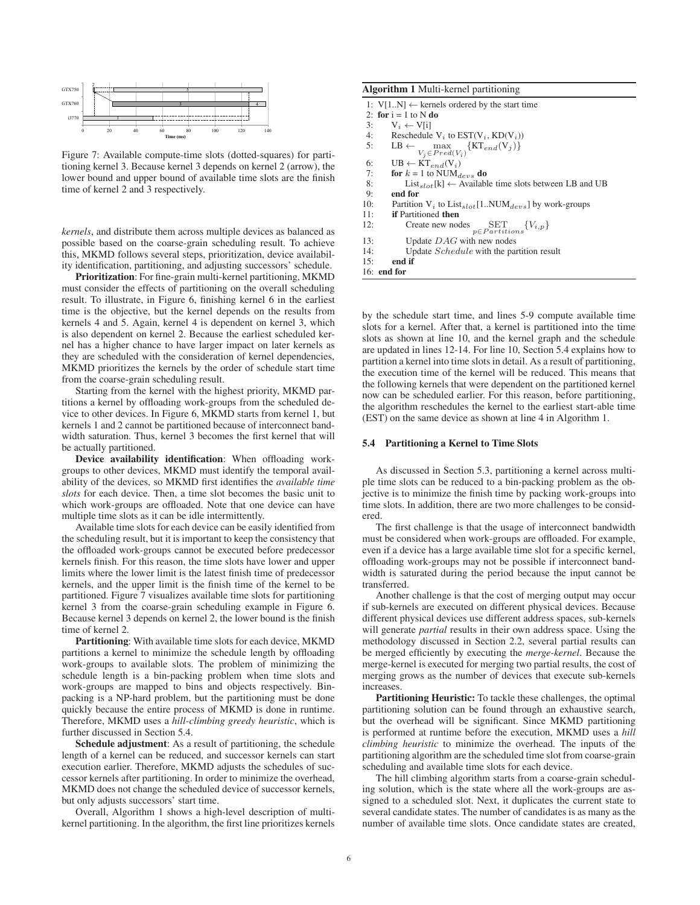

Figure 7: Available compute-time slots (dotted-squares) for partitioning kernel 3. Because kernel 3 depends on kernel 2 (arrow), the lower bound and upper bound of available time slots are the finish time of kernel 2 and 3 respectively.

*kernels*, and distribute them across multiple devices as balanced as possible based on the coarse-grain scheduling result. To achieve this, MKMD follows several steps, prioritization, device availability identification, partitioning, and adjusting successors' schedule.

Prioritization: For fine-grain multi-kernel partitioning, MKMD must consider the effects of partitioning on the overall scheduling result. To illustrate, in Figure 6, finishing kernel 6 in the earliest time is the objective, but the kernel depends on the results from kernels 4 and 5. Again, kernel 4 is dependent on kernel 3, which is also dependent on kernel 2. Because the earliest scheduled kernel has a higher chance to have larger impact on later kernels as they are scheduled with the consideration of kernel dependencies, MKMD prioritizes the kernels by the order of schedule start time from the coarse-grain scheduling result.

Starting from the kernel with the highest priority, MKMD partitions a kernel by offloading work-groups from the scheduled device to other devices. In Figure 6, MKMD starts from kernel 1, but kernels 1 and 2 cannot be partitioned because of interconnect bandwidth saturation. Thus, kernel 3 becomes the first kernel that will be actually partitioned.

Device availability identification: When offloading workgroups to other devices, MKMD must identify the temporal availability of the devices, so MKMD first identifies the *available time slots* for each device. Then, a time slot becomes the basic unit to which work-groups are offloaded. Note that one device can have multiple time slots as it can be idle intermittently.

Available time slots for each device can be easily identified from the scheduling result, but it is important to keep the consistency that the offloaded work-groups cannot be executed before predecessor kernels finish. For this reason, the time slots have lower and upper limits where the lower limit is the latest finish time of predecessor kernels, and the upper limit is the finish time of the kernel to be partitioned. Figure 7 visualizes available time slots for partitioning kernel 3 from the coarse-grain scheduling example in Figure 6. Because kernel 3 depends on kernel 2, the lower bound is the finish time of kernel 2.

Partitioning: With available time slots for each device, MKMD partitions a kernel to minimize the schedule length by offloading work-groups to available slots. The problem of minimizing the schedule length is a bin-packing problem when time slots and work-groups are mapped to bins and objects respectively. Binpacking is a NP-hard problem, but the partitioning must be done quickly because the entire process of MKMD is done in runtime. Therefore, MKMD uses a *hill-climbing greedy heuristic*, which is further discussed in Section 5.4.

Schedule adjustment: As a result of partitioning, the schedule length of a kernel can be reduced, and successor kernels can start execution earlier. Therefore, MKMD adjusts the schedules of successor kernels after partitioning. In order to minimize the overhead, MKMD does not change the scheduled device of successor kernels, but only adjusts successors' start time.

Overall, Algorithm 1 shows a high-level description of multikernel partitioning. In the algorithm, the first line prioritizes kernels

| <b>Algorithm 1</b> Multi-kernel partitioning                                          |  |  |
|---------------------------------------------------------------------------------------|--|--|
| 1: $V[1N] \leftarrow$ kernels ordered by the start time                               |  |  |
| 2: for $i = 1$ to N do                                                                |  |  |
| 3:<br>$V_i \leftarrow V[i]$                                                           |  |  |
| 4:<br>Reschedule $V_i$ to $EST(V_i, KD(V_i))$                                         |  |  |
| $LB \leftarrow \max_{V_j \in Pred(V_i)} \{ KT_{end}(V_j) \}$<br>5:                    |  |  |
|                                                                                       |  |  |
| 6:<br>$UB \leftarrow KT_{end}(V_i)$                                                   |  |  |
| 7:<br>for $k = 1$ to NUM <sub>dens</sub> do                                           |  |  |
| 8:<br>$List_{slot}$ [k] $\leftarrow$ Available time slots between LB and UB           |  |  |
| 9:<br>end for                                                                         |  |  |
| 10:<br>Partition $V_i$ to List <sub>slot</sub> [1NUM <sub>dens</sub> ] by work-groups |  |  |
| <b>if</b> Partitioned <b>then</b><br>11:                                              |  |  |
| 12:<br>Create new nodes $\underset{p \in Partitions}{\text{SET}} \{V_{i,p}\}$         |  |  |
| Update $DAG$ with new nodes<br>13:                                                    |  |  |
| 14:<br>Update <i>Schedule</i> with the partition result                               |  |  |
| end if<br>15:                                                                         |  |  |
| $16:$ end for                                                                         |  |  |

by the schedule start time, and lines 5-9 compute available time slots for a kernel. After that, a kernel is partitioned into the time slots as shown at line 10, and the kernel graph and the schedule are updated in lines 12-14. For line 10, Section 5.4 explains how to partition a kernel into time slots in detail. As a result of partitioning, the execution time of the kernel will be reduced. This means that the following kernels that were dependent on the partitioned kernel now can be scheduled earlier. For this reason, before partitioning, the algorithm reschedules the kernel to the earliest start-able time (EST) on the same device as shown at line 4 in Algorithm 1.

#### 5.4 Partitioning a Kernel to Time Slots

As discussed in Section 5.3, partitioning a kernel across multiple time slots can be reduced to a bin-packing problem as the objective is to minimize the finish time by packing work-groups into time slots. In addition, there are two more challenges to be considered.

The first challenge is that the usage of interconnect bandwidth must be considered when work-groups are offloaded. For example, even if a device has a large available time slot for a specific kernel, offloading work-groups may not be possible if interconnect bandwidth is saturated during the period because the input cannot be transferred.

Another challenge is that the cost of merging output may occur if sub-kernels are executed on different physical devices. Because different physical devices use different address spaces, sub-kernels will generate *partial* results in their own address space. Using the methodology discussed in Section 2.2, several partial results can be merged efficiently by executing the *merge-kernel*. Because the merge-kernel is executed for merging two partial results, the cost of merging grows as the number of devices that execute sub-kernels increases.

Partitioning Heuristic: To tackle these challenges, the optimal partitioning solution can be found through an exhaustive search, but the overhead will be significant. Since MKMD partitioning is performed at runtime before the execution, MKMD uses a *hill climbing heuristic* to minimize the overhead. The inputs of the partitioning algorithm are the scheduled time slot from coarse-grain scheduling and available time slots for each device.

The hill climbing algorithm starts from a coarse-grain scheduling solution, which is the state where all the work-groups are assigned to a scheduled slot. Next, it duplicates the current state to several candidate states. The number of candidates is as many as the number of available time slots. Once candidate states are created,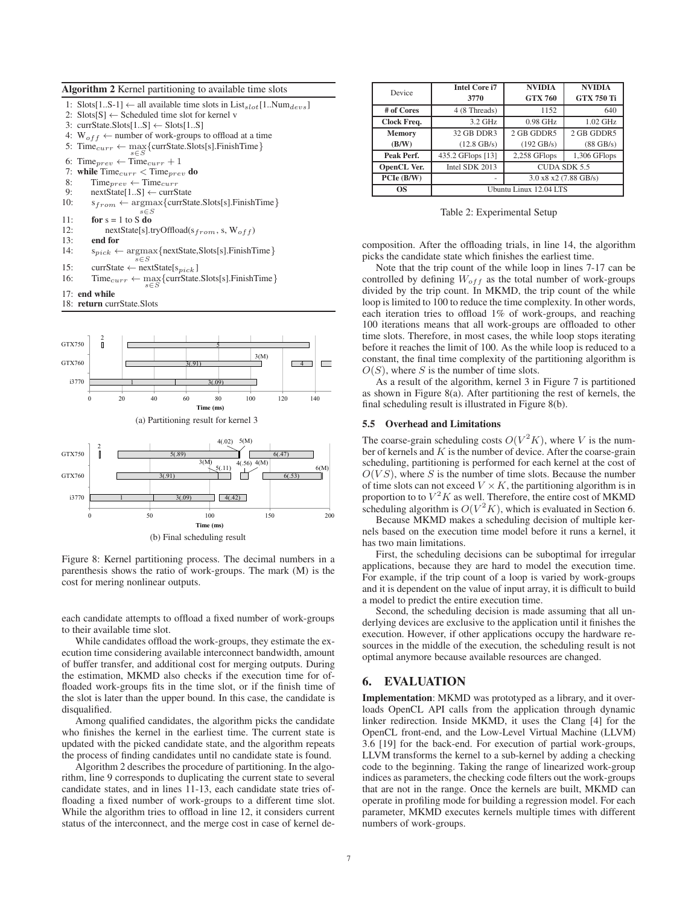|  |  | Algorithm 2 Kernel partitioning to available time slots |
|--|--|---------------------------------------------------------|
|--|--|---------------------------------------------------------|

| 1: Slots[1S-1] $\leftarrow$ all available time slots in List <sub>slot</sub> [1Num <sub>devs</sub> ]           |
|----------------------------------------------------------------------------------------------------------------|
| 2: $Slost[S] \leftarrow Scheduled time slot for kernel v$                                                      |
| 3: currState.Slots $[1S] \leftarrow$ Slots $[1S]$                                                              |
| 4: $W_{off} \leftarrow$ number of work-groups to offload at a time                                             |
| 5: Time $_{curr} \leftarrow \max_{s \in S}$ {currState.Slots[s].FinishTime}                                    |
| 6: Time <sub>prev</sub> $\leftarrow$ Time <sub>curr</sub> + 1                                                  |
| while $Time_{curr} < Time_{prev}$ do<br>7:                                                                     |
| 8:<br>$Time_{prev} \leftarrow Time_{curr}$                                                                     |
| $nextState[1S] \leftarrow currState$<br>9:                                                                     |
| $s_{from} \leftarrow \text{argmax}\{\text{currState.S}lots[s].\text{FinishTime}\}\$<br>10:<br>$s \in S$        |
| 11:<br>for $s = 1$ to S do                                                                                     |
| 12:<br>nextState[s].tryOffload(s $_{from}$ , s, W <sub>off</sub> )                                             |
| 13:<br>end for                                                                                                 |
| $s_{pick} \leftarrow \text{argmax}\{\text{nextState},\text{Slots[s].} \text{FinishTime}\}$<br>14:<br>$s \in S$ |
| 15:<br>currState $\leftarrow$ nextState[ $s_{pick}$ ]                                                          |
| $\text{Time}_{curr} \gets \max_{s \in S}\{\text{currState.Slots[s].} \text{FinishTime}\}$<br>16:               |
| 17: end while                                                                                                  |

## 18: return currState.Slots



Figure 8: Kernel partitioning process. The decimal numbers in a parenthesis shows the ratio of work-groups. The mark (M) is the cost for mering nonlinear outputs.

each candidate attempts to offload a fixed number of work-groups to their available time slot.

While candidates offload the work-groups, they estimate the execution time considering available interconnect bandwidth, amount of buffer transfer, and additional cost for merging outputs. During the estimation, MKMD also checks if the execution time for offloaded work-groups fits in the time slot, or if the finish time of the slot is later than the upper bound. In this case, the candidate is disqualified.

Among qualified candidates, the algorithm picks the candidate who finishes the kernel in the earliest time. The current state is updated with the picked candidate state, and the algorithm repeats the process of finding candidates until no candidate state is found.

Algorithm 2 describes the procedure of partitioning. In the algorithm, line 9 corresponds to duplicating the current state to several candidate states, and in lines 11-13, each candidate state tries offloading a fixed number of work-groups to a different time slot. While the algorithm tries to offload in line 12, it considers current status of the interconnect, and the merge cost in case of kernel de-

| Device        | <b>Intel Core i7</b><br>3770 | <b>NVIDIA</b><br><b>GTX 760</b> | <b>NVIDIA</b><br><b>GTX 750 Ti</b> |
|---------------|------------------------------|---------------------------------|------------------------------------|
| # of Cores    | 4 (8 Threads)                | 1152                            | 640                                |
| Clock Freq.   | 3.2 GHz                      | 0.98 GHz                        | $1.02$ GHz                         |
| <b>Memory</b> | 32 GB DDR3                   | 2 GB GDDR5                      | 2 GB GDDR5                         |
| (B/W)         | $(12.8 \text{ GB/s})$        | $(192 \text{ GB/s})$            | $(88 \text{ GB/s})$                |
| Peak Perf.    | 435.2 GFlops [13]            | 2,258 GFlops                    | 1,306 GFlops                       |
| OpenCL Ver.   | Intel SDK 2013               | CUDA SDK 5.5                    |                                    |
| PCIe(B/W)     |                              | 3.0 x8 x2 (7.88 GB/s)           |                                    |
| OS.           | Ubuntu Linux 12.04 LTS       |                                 |                                    |

Table 2: Experimental Setup

composition. After the offloading trials, in line 14, the algorithm picks the candidate state which finishes the earliest time.

Note that the trip count of the while loop in lines 7-17 can be controlled by defining  $W_{off}$  as the total number of work-groups divided by the trip count. In MKMD, the trip count of the while loop is limited to 100 to reduce the time complexity. In other words, each iteration tries to offload 1% of work-groups, and reaching 100 iterations means that all work-groups are offloaded to other time slots. Therefore, in most cases, the while loop stops iterating before it reaches the limit of 100. As the while loop is reduced to a constant, the final time complexity of the partitioning algorithm is  $O(S)$ , where S is the number of time slots.

As a result of the algorithm, kernel 3 in Figure 7 is partitioned as shown in Figure 8(a). After partitioning the rest of kernels, the final scheduling result is illustrated in Figure 8(b).

#### 5.5 Overhead and Limitations

The coarse-grain scheduling costs  $O(V^2K)$ , where V is the number of kernels and  $K$  is the number of device. After the coarse-grain scheduling, partitioning is performed for each kernel at the cost of  $O(VS)$ , where S is the number of time slots. Because the number of time slots can not exceed  $V \times K$ , the partitioning algorithm is in proportion to to  $V^2K$  as well. Therefore, the entire cost of MKMD scheduling algorithm is  $O(V^2K)$ , which is evaluated in Section 6.

Because MKMD makes a scheduling decision of multiple kernels based on the execution time model before it runs a kernel, it has two main limitations.

First, the scheduling decisions can be suboptimal for irregular applications, because they are hard to model the execution time. For example, if the trip count of a loop is varied by work-groups and it is dependent on the value of input array, it is difficult to build a model to predict the entire execution time.

Second, the scheduling decision is made assuming that all underlying devices are exclusive to the application until it finishes the execution. However, if other applications occupy the hardware resources in the middle of the execution, the scheduling result is not optimal anymore because available resources are changed.

## 6. EVALUATION

Implementation: MKMD was prototyped as a library, and it overloads OpenCL API calls from the application through dynamic linker redirection. Inside MKMD, it uses the Clang [4] for the OpenCL front-end, and the Low-Level Virtual Machine (LLVM) 3.6 [19] for the back-end. For execution of partial work-groups, LLVM transforms the kernel to a sub-kernel by adding a checking code to the beginning. Taking the range of linearized work-group indices as parameters, the checking code filters out the work-groups that are not in the range. Once the kernels are built, MKMD can operate in profiling mode for building a regression model. For each parameter, MKMD executes kernels multiple times with different numbers of work-groups.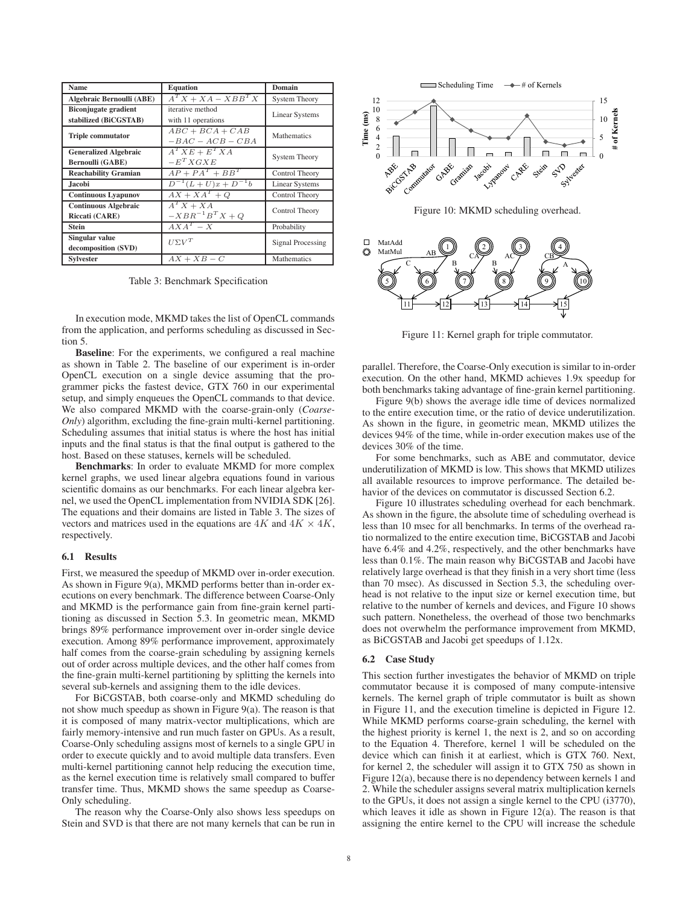| Name                         | <b>Equation</b>           | Domain                |  |
|------------------------------|---------------------------|-----------------------|--|
| Algebraic Bernoulli (ABE)    | $A^T X + X A - X B B^T X$ | <b>System Theory</b>  |  |
| <b>Biconjugate gradient</b>  | iterative method          |                       |  |
| stabilized (BiCGSTAB)        | with 11 operations        | <b>Linear Systems</b> |  |
| <b>Triple commutator</b>     | $ABC + BCA + CAB$         | Mathematics           |  |
|                              | $- BAC - ACB - CBA$       |                       |  |
| <b>Generalized Algebraic</b> | $A^T X E + E^T X A$       | <b>System Theory</b>  |  |
| <b>Bernoulli (GABE)</b>      | $-E^T X G X E$            |                       |  |
| <b>Reachability Gramian</b>  | $AP + PA^{T} + BB^{T}$    | Control Theory        |  |
| .Jacobi                      | $D^{-1}(L+U)x+D^{-1}b$    | <b>Linear Systems</b> |  |
| <b>Continuous Lyapunov</b>   | $AX + XA^T + Q$           | Control Theory        |  |
| <b>Continuous Algebraic</b>  | $A^T X + X A$             | Control Theory        |  |
| Riccati (CARE)               | $-XBR^{-1}B^TX + Q$       |                       |  |
| <b>Stein</b>                 | $AXA^T = X$               | Probability           |  |
| Singular value               | $U\Sigma V^T$             | Signal Processing     |  |
| decomposition (SVD)          |                           |                       |  |
| <b>Sylvester</b>             | $AX + XB - C$             | Mathematics           |  |

Table 3: Benchmark Specification

In execution mode, MKMD takes the list of OpenCL commands from the application, and performs scheduling as discussed in Section 5.

Baseline: For the experiments, we configured a real machine as shown in Table 2. The baseline of our experiment is in-order OpenCL execution on a single device assuming that the programmer picks the fastest device, GTX 760 in our experimental setup, and simply enqueues the OpenCL commands to that device. We also compared MKMD with the coarse-grain-only (*Coarse-Only*) algorithm, excluding the fine-grain multi-kernel partitioning. Scheduling assumes that initial status is where the host has initial inputs and the final status is that the final output is gathered to the host. Based on these statuses, kernels will be scheduled.

Benchmarks: In order to evaluate MKMD for more complex kernel graphs, we used linear algebra equations found in various scientific domains as our benchmarks. For each linear algebra kernel, we used the OpenCL implementation from NVIDIA SDK [26]. The equations and their domains are listed in Table 3. The sizes of vectors and matrices used in the equations are  $4K$  and  $4K \times 4K$ , respectively.

#### 6.1 Results

First, we measured the speedup of MKMD over in-order execution. As shown in Figure 9(a), MKMD performs better than in-order executions on every benchmark. The difference between Coarse-Only and MKMD is the performance gain from fine-grain kernel partitioning as discussed in Section 5.3. In geometric mean, MKMD brings 89% performance improvement over in-order single device execution. Among 89% performance improvement, approximately half comes from the coarse-grain scheduling by assigning kernels out of order across multiple devices, and the other half comes from the fine-grain multi-kernel partitioning by splitting the kernels into several sub-kernels and assigning them to the idle devices.

For BiCGSTAB, both coarse-only and MKMD scheduling do not show much speedup as shown in Figure 9(a). The reason is that it is composed of many matrix-vector multiplications, which are fairly memory-intensive and run much faster on GPUs. As a result, Coarse-Only scheduling assigns most of kernels to a single GPU in order to execute quickly and to avoid multiple data transfers. Even multi-kernel partitioning cannot help reducing the execution time, as the kernel execution time is relatively small compared to buffer transfer time. Thus, MKMD shows the same speedup as Coarse-Only scheduling.

The reason why the Coarse-Only also shows less speedups on Stein and SVD is that there are not many kernels that can be run in





Figure 11: Kernel graph for triple commutator.

parallel. Therefore, the Coarse-Only execution is similar to in-order execution. On the other hand, MKMD achieves 1.9x speedup for both benchmarks taking advantage of fine-grain kernel partitioning.

Figure 9(b) shows the average idle time of devices normalized to the entire execution time, or the ratio of device underutilization. As shown in the figure, in geometric mean, MKMD utilizes the devices 94% of the time, while in-order execution makes use of the devices 30% of the time.

For some benchmarks, such as ABE and commutator, device underutilization of MKMD is low. This shows that MKMD utilizes all available resources to improve performance. The detailed behavior of the devices on commutator is discussed Section 6.2.

Figure 10 illustrates scheduling overhead for each benchmark. As shown in the figure, the absolute time of scheduling overhead is less than 10 msec for all benchmarks. In terms of the overhead ratio normalized to the entire execution time, BiCGSTAB and Jacobi have 6.4% and 4.2%, respectively, and the other benchmarks have less than 0.1%. The main reason why BiCGSTAB and Jacobi have relatively large overhead is that they finish in a very short time (less than 70 msec). As discussed in Section 5.3, the scheduling overhead is not relative to the input size or kernel execution time, but relative to the number of kernels and devices, and Figure 10 shows such pattern. Nonetheless, the overhead of those two benchmarks does not overwhelm the performance improvement from MKMD, as BiCGSTAB and Jacobi get speedups of 1.12x.

## 6.2 Case Study

This section further investigates the behavior of MKMD on triple commutator because it is composed of many compute-intensive kernels. The kernel graph of triple commutator is built as shown in Figure 11, and the execution timeline is depicted in Figure 12. While MKMD performs coarse-grain scheduling, the kernel with the highest priority is kernel 1, the next is 2, and so on according to the Equation 4. Therefore, kernel 1 will be scheduled on the device which can finish it at earliest, which is GTX 760. Next, for kernel 2, the scheduler will assign it to GTX 750 as shown in Figure 12(a), because there is no dependency between kernels 1 and 2. While the scheduler assigns several matrix multiplication kernels to the GPUs, it does not assign a single kernel to the CPU (i3770), which leaves it idle as shown in Figure 12(a). The reason is that assigning the entire kernel to the CPU will increase the schedule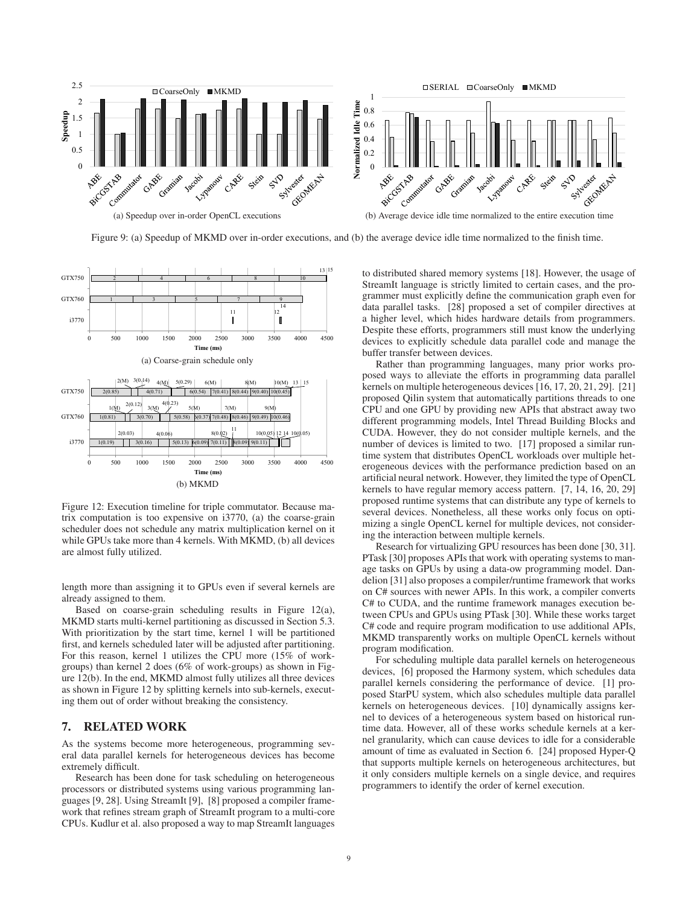

Figure 9: (a) Speedup of MKMD over in-order executions, and (b) the average device idle time normalized to the finish time.



Figure 12: Execution timeline for triple commutator. Because matrix computation is too expensive on i3770, (a) the coarse-grain scheduler does not schedule any matrix multiplication kernel on it while GPUs take more than 4 kernels. With MKMD, (b) all devices are almost fully utilized.

length more than assigning it to GPUs even if several kernels are already assigned to them.

Based on coarse-grain scheduling results in Figure 12(a), MKMD starts multi-kernel partitioning as discussed in Section 5.3. With prioritization by the start time, kernel 1 will be partitioned first, and kernels scheduled later will be adjusted after partitioning. For this reason, kernel 1 utilizes the CPU more (15% of workgroups) than kernel 2 does (6% of work-groups) as shown in Figure 12(b). In the end, MKMD almost fully utilizes all three devices as shown in Figure 12 by splitting kernels into sub-kernels, executing them out of order without breaking the consistency.

## 7. RELATED WORK

As the systems become more heterogeneous, programming several data parallel kernels for heterogeneous devices has become extremely difficult.

Research has been done for task scheduling on heterogeneous processors or distributed systems using various programming languages [9, 28]. Using StreamIt [9], [8] proposed a compiler framework that refines stream graph of StreamIt program to a multi-core CPUs. Kudlur et al. also proposed a way to map StreamIt languages

to distributed shared memory systems [18]. However, the usage of StreamIt language is strictly limited to certain cases, and the programmer must explicitly define the communication graph even for data parallel tasks. [28] proposed a set of compiler directives at a higher level, which hides hardware details from programmers. Despite these efforts, programmers still must know the underlying devices to explicitly schedule data parallel code and manage the buffer transfer between devices.

Rather than programming languages, many prior works proposed ways to alleviate the efforts in programming data parallel kernels on multiple heterogeneous devices [16, 17, 20, 21, 29]. [21] proposed Qilin system that automatically partitions threads to one CPU and one GPU by providing new APIs that abstract away two different programming models, Intel Thread Building Blocks and CUDA. However, they do not consider multiple kernels, and the number of devices is limited to two. [17] proposed a similar runtime system that distributes OpenCL workloads over multiple heterogeneous devices with the performance prediction based on an artificial neural network. However, they limited the type of OpenCL kernels to have regular memory access pattern. [7, 14, 16, 20, 29] proposed runtime systems that can distribute any type of kernels to several devices. Nonetheless, all these works only focus on optimizing a single OpenCL kernel for multiple devices, not considering the interaction between multiple kernels.

Research for virtualizing GPU resources has been done [30, 31]. PTask [30] proposes APIs that work with operating systems to manage tasks on GPUs by using a data-ow programming model. Dandelion [31] also proposes a compiler/runtime framework that works on C# sources with newer APIs. In this work, a compiler converts C# to CUDA, and the runtime framework manages execution between CPUs and GPUs using PTask [30]. While these works target C# code and require program modification to use additional APIs, MKMD transparently works on multiple OpenCL kernels without program modification.

For scheduling multiple data parallel kernels on heterogeneous devices, [6] proposed the Harmony system, which schedules data parallel kernels considering the performance of device. [1] proposed StarPU system, which also schedules multiple data parallel kernels on heterogeneous devices. [10] dynamically assigns kernel to devices of a heterogeneous system based on historical runtime data. However, all of these works schedule kernels at a kernel granularity, which can cause devices to idle for a considerable amount of time as evaluated in Section 6. [24] proposed Hyper-Q that supports multiple kernels on heterogeneous architectures, but it only considers multiple kernels on a single device, and requires programmers to identify the order of kernel execution.